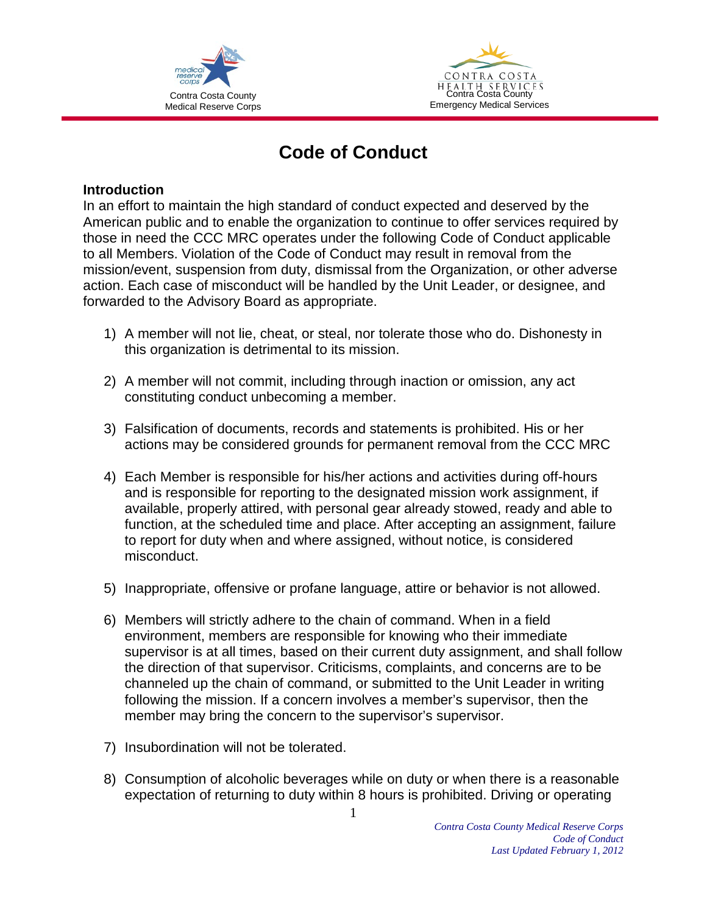



## **Code of Conduct**

## **Introduction**

In an effort to maintain the high standard of conduct expected and deserved by the American public and to enable the organization to continue to offer services required by those in need the CCC MRC operates under the following Code of Conduct applicable to all Members. Violation of the Code of Conduct may result in removal from the mission/event, suspension from duty, dismissal from the Organization, or other adverse action. Each case of misconduct will be handled by the Unit Leader, or designee, and forwarded to the Advisory Board as appropriate.

- 1) A member will not lie, cheat, or steal, nor tolerate those who do. Dishonesty in this organization is detrimental to its mission.
- 2) A member will not commit, including through inaction or omission, any act constituting conduct unbecoming a member.
- 3) Falsification of documents, records and statements is prohibited. His or her actions may be considered grounds for permanent removal from the CCC MRC
- 4) Each Member is responsible for his/her actions and activities during off-hours and is responsible for reporting to the designated mission work assignment, if available, properly attired, with personal gear already stowed, ready and able to function, at the scheduled time and place. After accepting an assignment, failure to report for duty when and where assigned, without notice, is considered misconduct.
- 5) Inappropriate, offensive or profane language, attire or behavior is not allowed.
- 6) Members will strictly adhere to the chain of command. When in a field environment, members are responsible for knowing who their immediate supervisor is at all times, based on their current duty assignment, and shall follow the direction of that supervisor. Criticisms, complaints, and concerns are to be channeled up the chain of command, or submitted to the Unit Leader in writing following the mission. If a concern involves a member's supervisor, then the member may bring the concern to the supervisor's supervisor.
- 7) Insubordination will not be tolerated.
- 8) Consumption of alcoholic beverages while on duty or when there is a reasonable expectation of returning to duty within 8 hours is prohibited. Driving or operating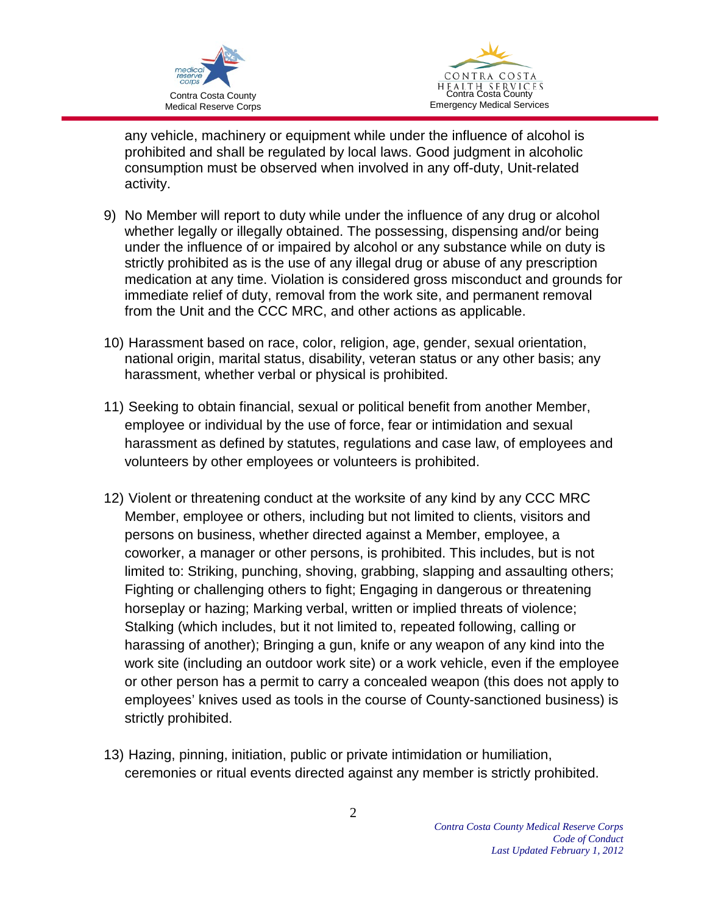



any vehicle, machinery or equipment while under the influence of alcohol is prohibited and shall be regulated by local laws. Good judgment in alcoholic consumption must be observed when involved in any off-duty, Unit-related activity.

- 9) No Member will report to duty while under the influence of any drug or alcohol whether legally or illegally obtained. The possessing, dispensing and/or being under the influence of or impaired by alcohol or any substance while on duty is strictly prohibited as is the use of any illegal drug or abuse of any prescription medication at any time. Violation is considered gross misconduct and grounds for immediate relief of duty, removal from the work site, and permanent removal from the Unit and the CCC MRC, and other actions as applicable.
- 10) Harassment based on race, color, religion, age, gender, sexual orientation, national origin, marital status, disability, veteran status or any other basis; any harassment, whether verbal or physical is prohibited.
- 11) Seeking to obtain financial, sexual or political benefit from another Member, employee or individual by the use of force, fear or intimidation and sexual harassment as defined by statutes, regulations and case law, of employees and volunteers by other employees or volunteers is prohibited.
- 12) Violent or threatening conduct at the worksite of any kind by any CCC MRC Member, employee or others, including but not limited to clients, visitors and persons on business, whether directed against a Member, employee, a coworker, a manager or other persons, is prohibited. This includes, but is not limited to: Striking, punching, shoving, grabbing, slapping and assaulting others; Fighting or challenging others to fight; Engaging in dangerous or threatening horseplay or hazing; Marking verbal, written or implied threats of violence; Stalking (which includes, but it not limited to, repeated following, calling or harassing of another); Bringing a gun, knife or any weapon of any kind into the work site (including an outdoor work site) or a work vehicle, even if the employee or other person has a permit to carry a concealed weapon (this does not apply to employees' knives used as tools in the course of County-sanctioned business) is strictly prohibited.
- 13) Hazing, pinning, initiation, public or private intimidation or humiliation, ceremonies or ritual events directed against any member is strictly prohibited.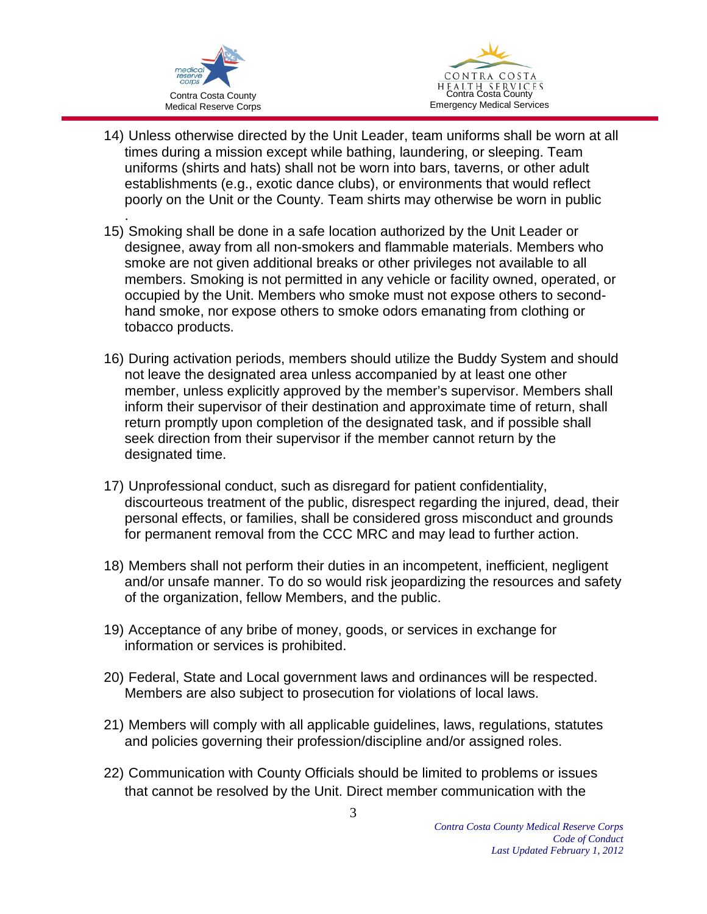



- 14) Unless otherwise directed by the Unit Leader, team uniforms shall be worn at all times during a mission except while bathing, laundering, or sleeping. Team uniforms (shirts and hats) shall not be worn into bars, taverns, or other adult establishments (e.g., exotic dance clubs), or environments that would reflect poorly on the Unit or the County. Team shirts may otherwise be worn in public
- . 15) Smoking shall be done in a safe location authorized by the Unit Leader or designee, away from all non-smokers and flammable materials. Members who smoke are not given additional breaks or other privileges not available to all members. Smoking is not permitted in any vehicle or facility owned, operated, or occupied by the Unit. Members who smoke must not expose others to secondhand smoke, nor expose others to smoke odors emanating from clothing or tobacco products.
- 16) During activation periods, members should utilize the Buddy System and should not leave the designated area unless accompanied by at least one other member, unless explicitly approved by the member's supervisor. Members shall inform their supervisor of their destination and approximate time of return, shall return promptly upon completion of the designated task, and if possible shall seek direction from their supervisor if the member cannot return by the designated time.
- 17) Unprofessional conduct, such as disregard for patient confidentiality, discourteous treatment of the public, disrespect regarding the injured, dead, their personal effects, or families, shall be considered gross misconduct and grounds for permanent removal from the CCC MRC and may lead to further action.
- 18) Members shall not perform their duties in an incompetent, inefficient, negligent and/or unsafe manner. To do so would risk jeopardizing the resources and safety of the organization, fellow Members, and the public.
- 19) Acceptance of any bribe of money, goods, or services in exchange for information or services is prohibited.
- 20) Federal, State and Local government laws and ordinances will be respected. Members are also subject to prosecution for violations of local laws.
- 21) Members will comply with all applicable guidelines, laws, regulations, statutes and policies governing their profession/discipline and/or assigned roles.
- 22) Communication with County Officials should be limited to problems or issues that cannot be resolved by the Unit. Direct member communication with the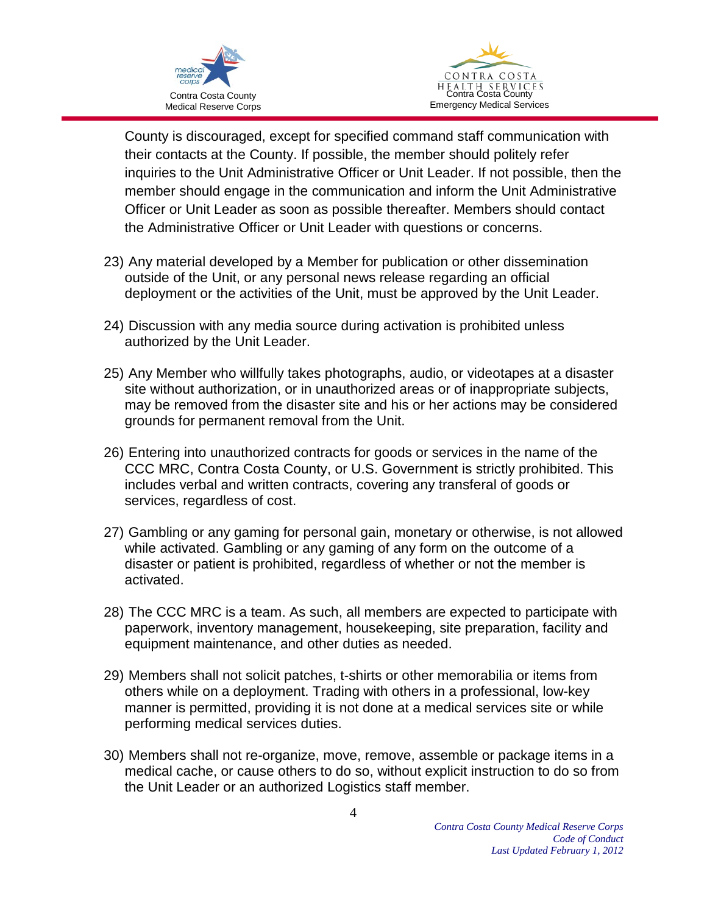



County is discouraged, except for specified command staff communication with their contacts at the County. If possible, the member should politely refer inquiries to the Unit Administrative Officer or Unit Leader. If not possible, then the member should engage in the communication and inform the Unit Administrative Officer or Unit Leader as soon as possible thereafter. Members should contact the Administrative Officer or Unit Leader with questions or concerns.

- 23) Any material developed by a Member for publication or other dissemination outside of the Unit, or any personal news release regarding an official deployment or the activities of the Unit, must be approved by the Unit Leader.
- 24) Discussion with any media source during activation is prohibited unless authorized by the Unit Leader.
- 25) Any Member who willfully takes photographs, audio, or videotapes at a disaster site without authorization, or in unauthorized areas or of inappropriate subjects, may be removed from the disaster site and his or her actions may be considered grounds for permanent removal from the Unit.
- 26) Entering into unauthorized contracts for goods or services in the name of the CCC MRC, Contra Costa County, or U.S. Government is strictly prohibited. This includes verbal and written contracts, covering any transferal of goods or services, regardless of cost.
- 27) Gambling or any gaming for personal gain, monetary or otherwise, is not allowed while activated. Gambling or any gaming of any form on the outcome of a disaster or patient is prohibited, regardless of whether or not the member is activated.
- 28) The CCC MRC is a team. As such, all members are expected to participate with paperwork, inventory management, housekeeping, site preparation, facility and equipment maintenance, and other duties as needed.
- 29) Members shall not solicit patches, t-shirts or other memorabilia or items from others while on a deployment. Trading with others in a professional, low-key manner is permitted, providing it is not done at a medical services site or while performing medical services duties.
- 30) Members shall not re-organize, move, remove, assemble or package items in a medical cache, or cause others to do so, without explicit instruction to do so from the Unit Leader or an authorized Logistics staff member.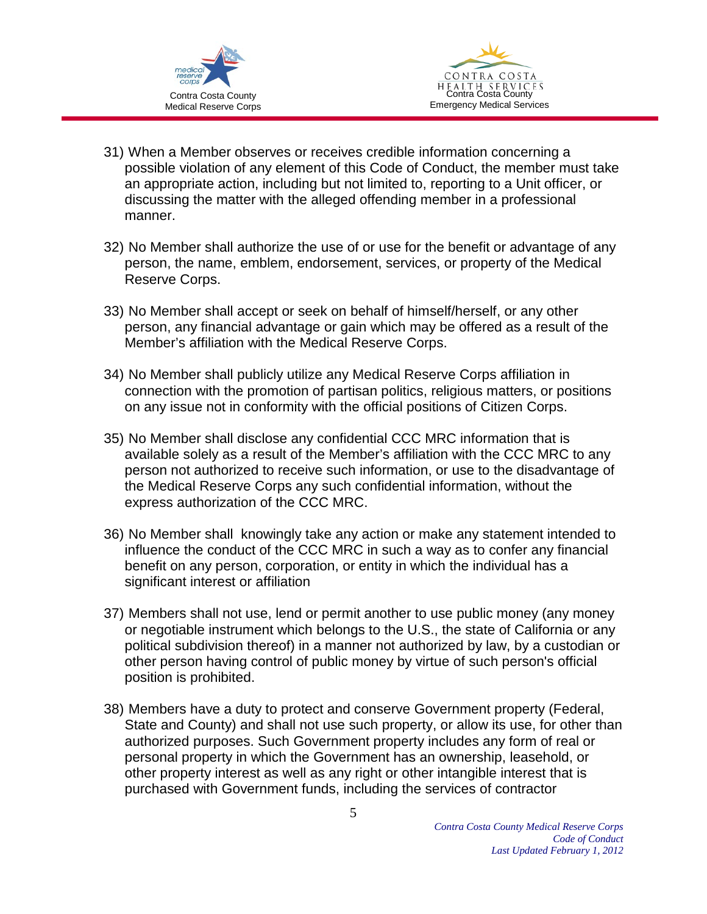



- 31) When a Member observes or receives credible information concerning a possible violation of any element of this Code of Conduct, the member must take an appropriate action, including but not limited to, reporting to a Unit officer, or discussing the matter with the alleged offending member in a professional manner.
- 32) No Member shall authorize the use of or use for the benefit or advantage of any person, the name, emblem, endorsement, services, or property of the Medical Reserve Corps.
- 33) No Member shall accept or seek on behalf of himself/herself, or any other person, any financial advantage or gain which may be offered as a result of the Member's affiliation with the Medical Reserve Corps.
- 34) No Member shall publicly utilize any Medical Reserve Corps affiliation in connection with the promotion of partisan politics, religious matters, or positions on any issue not in conformity with the official positions of Citizen Corps.
- 35) No Member shall disclose any confidential CCC MRC information that is available solely as a result of the Member's affiliation with the CCC MRC to any person not authorized to receive such information, or use to the disadvantage of the Medical Reserve Corps any such confidential information, without the express authorization of the CCC MRC.
- 36) No Member shall knowingly take any action or make any statement intended to influence the conduct of the CCC MRC in such a way as to confer any financial benefit on any person, corporation, or entity in which the individual has a significant interest or affiliation
- 37) Members shall not use, lend or permit another to use public money (any money or negotiable instrument which belongs to the U.S., the state of California or any political subdivision thereof) in a manner not authorized by law, by a custodian or other person having control of public money by virtue of such person's official position is prohibited.
- 38) Members have a duty to protect and conserve Government property (Federal, State and County) and shall not use such property, or allow its use, for other than authorized purposes. Such Government property includes any form of real or personal property in which the Government has an ownership, leasehold, or other property interest as well as any right or other intangible interest that is purchased with Government funds, including the services of contractor